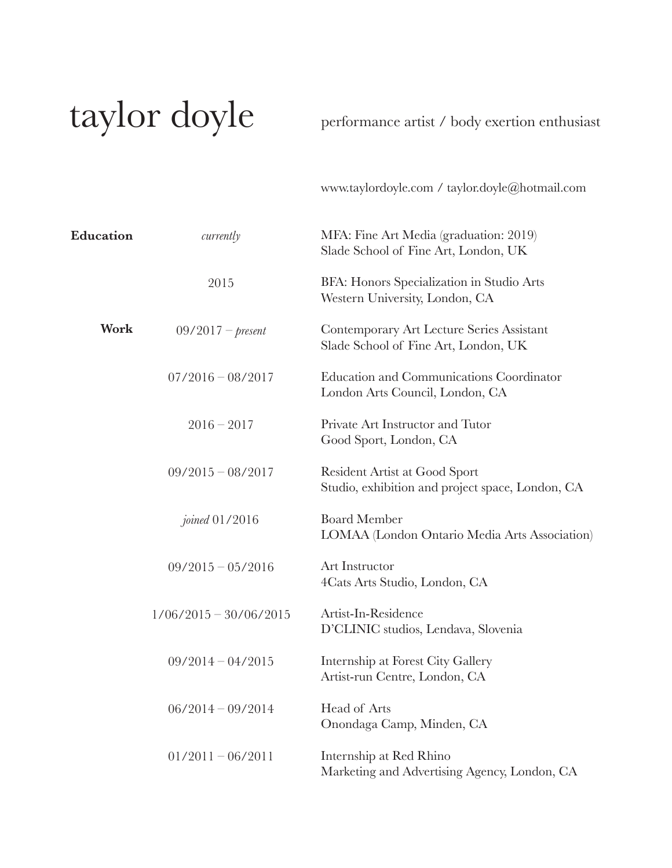## taylor doyle

performance artist / body exertion enthusiast

www.taylordoyle.com / taylor.doyle@hotmail.com

| Education | currently                | MFA: Fine Art Media (graduation: 2019)<br>Slade School of Fine Art, London, UK    |
|-----------|--------------------------|-----------------------------------------------------------------------------------|
|           | 2015                     | BFA: Honors Specialization in Studio Arts<br>Western University, London, CA       |
| Work      | $09/2017 - present$      | Contemporary Art Lecture Series Assistant<br>Slade School of Fine Art, London, UK |
|           | $07/2016 - 08/2017$      | Education and Communications Coordinator<br>London Arts Council, London, CA       |
|           | $2016 - 2017$            | Private Art Instructor and Tutor<br>Good Sport, London, CA                        |
|           | $09/2015 - 08/2017$      | Resident Artist at Good Sport<br>Studio, exhibition and project space, London, CA |
|           | <i>joined</i> 01/2016    | <b>Board Member</b><br>LOMAA (London Ontario Media Arts Association)              |
|           | $09/2015 - 05/2016$      | Art Instructor<br>4Cats Arts Studio, London, CA                                   |
|           | $1/06/2015 - 30/06/2015$ | Artist-In-Residence<br>D'CLINIC studios, Lendava, Slovenia                        |
|           | $09/2014 - 04/2015$      | Internship at Forest City Gallery<br>Artist-run Centre, London, CA                |
|           | $06/2014 - 09/2014$      | Head of Arts<br>Onondaga Camp, Minden, CA                                         |
|           | $01/2011 - 06/2011$      | Internship at Red Rhino<br>Marketing and Advertising Agency, London, CA           |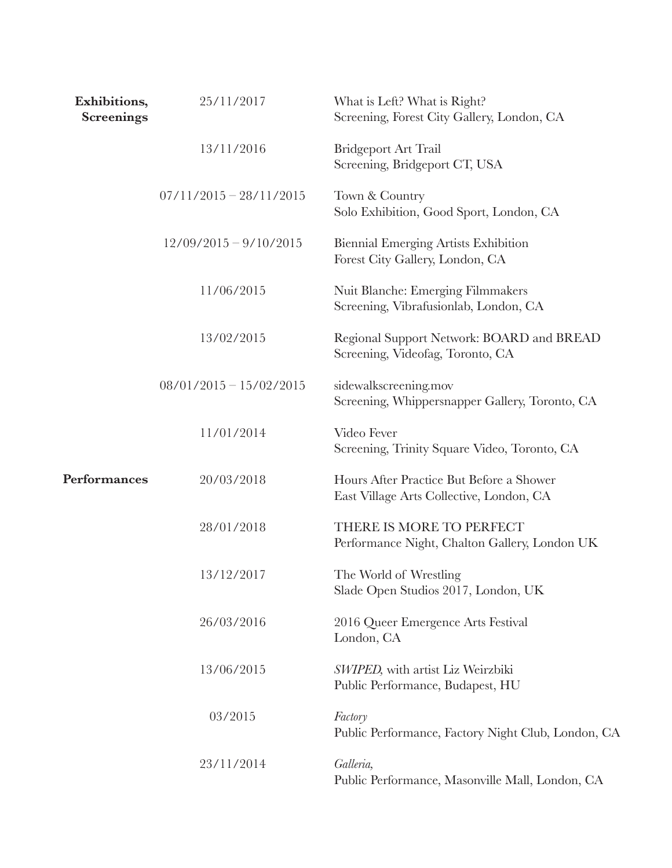| Exhibitions,<br><b>Screenings</b> | 25/11/2017                | What is Left? What is Right?<br>Screening, Forest City Gallery, London, CA           |
|-----------------------------------|---------------------------|--------------------------------------------------------------------------------------|
|                                   | 13/11/2016                | <b>Bridgeport Art Trail</b><br>Screening, Bridgeport CT, USA                         |
|                                   | $07/11/2015 - 28/11/2015$ | Town & Country<br>Solo Exhibition, Good Sport, London, CA                            |
|                                   | $12/09/2015 - 9/10/2015$  | Biennial Emerging Artists Exhibition<br>Forest City Gallery, London, CA              |
|                                   | 11/06/2015                | Nuit Blanche: Emerging Filmmakers<br>Screening, Vibrafusionlab, London, CA           |
|                                   | 13/02/2015                | Regional Support Network: BOARD and BREAD<br>Screening, Videofag, Toronto, CA        |
|                                   | $08/01/2015 - 15/02/2015$ | sidewalkscreening.mov<br>Screening, Whippersnapper Gallery, Toronto, CA              |
|                                   | 11/01/2014                | Video Fever<br>Screening, Trinity Square Video, Toronto, CA                          |
| Performances                      | 20/03/2018                | Hours After Practice But Before a Shower<br>East Village Arts Collective, London, CA |
|                                   | 28/01/2018                | THERE IS MORE TO PERFECT<br>Performance Night, Chalton Gallery, London UK            |
|                                   | 13/12/2017                | The World of Wrestling<br>Slade Open Studios 2017, London, UK                        |
|                                   | 26/03/2016                | 2016 Queer Emergence Arts Festival<br>London, CA                                     |
|                                   | 13/06/2015                | SWIPED, with artist Liz Weirzbiki<br>Public Performance, Budapest, HU                |
|                                   | 03/2015                   | Factory<br>Public Performance, Factory Night Club, London, CA                        |
|                                   | 23/11/2014                | Galleria,<br>Public Performance, Masonville Mall, London, CA                         |